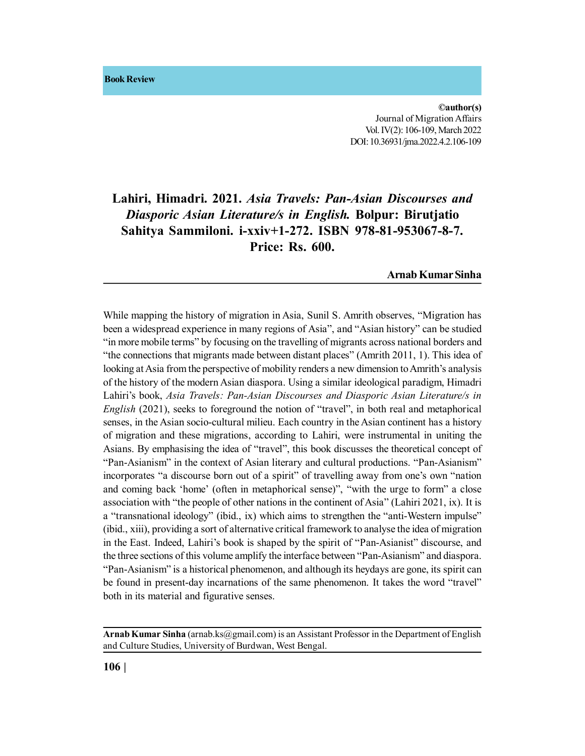**Book Review**

**©author(s)** Journal of Migration Affairs Vol. IV(2): 106-109, March 2022 DOI: 10.36931/jma.2022.4.2.106-109

## **Lahiri, Himadri. 2021.** *Asia Travels: Pan-Asian Discourses and Diasporic Asian Literature/s in English.* **Bolpur: Birutjatio Sahitya Sammiloni. i-xxiv+1-272. ISBN 978-81-953067-8-7. Price: Rs. 600.**

**Arnab Kumar Sinha**

While mapping the history of migration in Asia, Sunil S. Amrith observes, "Migration has been a widespread experience in many regions of Asia", and "Asian history" can be studied "in more mobile terms" by focusing on the travelling of migrants across national borders and "the connections that migrants made between distant places" (Amrith 2011, 1). This idea of looking at Asia from the perspective of mobility renders a new dimension to Amrith's analysis of the history of the modern Asian diaspora. Using a similar ideological paradigm, Himadri Lahiri's book, *Asia Travels: Pan-Asian Discourses and Diasporic Asian Literature/s in English* (2021), seeks to foreground the notion of "travel", in both real and metaphorical senses, in the Asian socio-cultural milieu. Each country in the Asian continent has a history of migration and these migrations, according to Lahiri, were instrumental in uniting the Asians. By emphasising the idea of "travel", this book discusses the theoretical concept of "Pan-Asianism" in the context of Asian literary and cultural productions. "Pan-Asianism" incorporates "a discourse born out of a spirit" of travelling away from one's own "nation and coming back 'home' (often in metaphorical sense)", "with the urge to form" a close association with "the people of other nations in the continent of Asia" (Lahiri 2021, ix). It is a "transnational ideology" (ibid., ix) which aims to strengthen the "anti-Western impulse" (ibid., xiii), providing a sort of alternative critical framework to analyse the idea of migration in the East. Indeed, Lahiri's book is shaped by the spirit of "Pan-Asianist" discourse, and the three sections of this volume amplify the interface between "Pan-Asianism" and diaspora. "Pan-Asianism" is a historical phenomenon, and although its heydays are gone, its spirit can be found in present-day incarnations of the same phenomenon. It takes the word "travel" both in its material and figurative senses.

**Arnab Kumar Sinha** (arnab.ks@gmail.com) is an Assistant Professor in the Department of English and Culture Studies, University of Burdwan, West Bengal.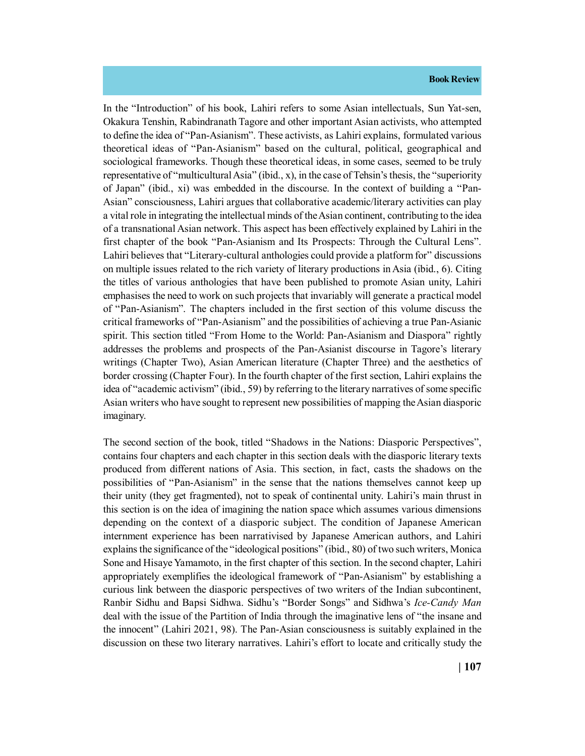## **Book Review**

In the "Introduction" of his book, Lahiri refers to some Asian intellectuals, Sun Yat-sen, Okakura Tenshin, Rabindranath Tagore and other important Asian activists, who attempted to define the idea of "Pan-Asianism". These activists, as Lahiri explains, formulated various theoretical ideas of "Pan-Asianism" based on the cultural, political, geographical and sociological frameworks. Though these theoretical ideas, in some cases, seemed to be truly representative of "multicultural Asia" (ibid., x), in the case of Tehsin's thesis, the "superiority of Japan" (ibid., xi) was embedded in the discourse. In the context of building a "Pan-Asian" consciousness, Lahiri argues that collaborative academic/literary activities can play a vital role in integrating the intellectual minds of the Asian continent, contributing to the idea of a transnational Asian network. This aspect has been effectively explained by Lahiri in the first chapter of the book "Pan-Asianism and Its Prospects: Through the Cultural Lens". Lahiri believes that "Literary-cultural anthologies could provide a platform for" discussions on multiple issues related to the rich variety of literary productions in Asia (ibid., 6). Citing the titles of various anthologies that have been published to promote Asian unity, Lahiri emphasises the need to work on such projects that invariably will generate a practical model of "Pan-Asianism". The chapters included in the first section of this volume discuss the critical frameworks of "Pan-Asianism" and the possibilities of achieving a true Pan-Asianic spirit. This section titled "From Home to the World: Pan-Asianism and Diaspora" rightly addresses the problems and prospects of the Pan-Asianist discourse in Tagore's literary writings (Chapter Two), Asian American literature (Chapter Three) and the aesthetics of border crossing (Chapter Four). In the fourth chapter of the first section, Lahiri explains the idea of "academic activism" (ibid., 59) by referring to the literary narratives of some specific Asian writers who have sought to represent new possibilities of mapping the Asian diasporic imaginary.

The second section of the book, titled "Shadows in the Nations: Diasporic Perspectives", contains four chapters and each chapter in this section deals with the diasporic literary texts produced from different nations of Asia. This section, in fact, casts the shadows on the possibilities of "Pan-Asianism" in the sense that the nations themselves cannot keep up their unity (they get fragmented), not to speak of continental unity. Lahiri's main thrust in this section is on the idea of imagining the nation space which assumes various dimensions depending on the context of a diasporic subject. The condition of Japanese American internment experience has been narrativised by Japanese American authors, and Lahiri explains the significance of the "ideological positions" (ibid., 80) of two such writers, Monica Sone and Hisaye Yamamoto, in the first chapter of this section. In the second chapter, Lahiri appropriately exemplifies the ideological framework of "Pan-Asianism" by establishing a curious link between the diasporic perspectives of two writers of the Indian subcontinent, Ranbir Sidhu and Bapsi Sidhwa. Sidhu's "Border Songs" and Sidhwa's *Ice-Candy Man* deal with the issue of the Partition of India through the imaginative lens of "the insane and the innocent" (Lahiri 2021, 98). The Pan-Asian consciousness is suitably explained in the discussion on these two literary narratives. Lahiri's effort to locate and critically study the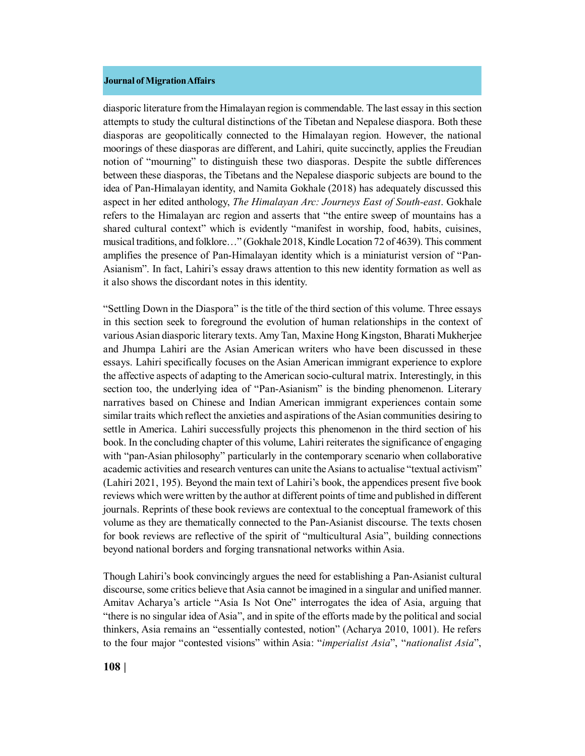## **Journal of Migration Affairs**

diasporic literature from the Himalayan region is commendable. The last essay in this section attempts to study the cultural distinctions of the Tibetan and Nepalese diaspora. Both these diasporas are geopolitically connected to the Himalayan region. However, the national moorings of these diasporas are different, and Lahiri, quite succinctly, applies the Freudian notion of "mourning" to distinguish these two diasporas. Despite the subtle differences between these diasporas, the Tibetans and the Nepalese diasporic subjects are bound to the idea of Pan-Himalayan identity, and Namita Gokhale (2018) has adequately discussed this aspect in her edited anthology, *The Himalayan Arc: Journeys East of South-east*. Gokhale refers to the Himalayan arc region and asserts that "the entire sweep of mountains has a shared cultural context" which is evidently "manifest in worship, food, habits, cuisines, musical traditions, and folklore…" (Gokhale 2018, Kindle Location 72 of 4639). This comment amplifies the presence of Pan-Himalayan identity which is a miniaturist version of "Pan-Asianism". In fact, Lahiri's essay draws attention to this new identity formation as well as it also shows the discordant notes in this identity.

"Settling Down in the Diaspora" is the title of the third section of this volume. Three essays in this section seek to foreground the evolution of human relationships in the context of various Asian diasporic literary texts. Amy Tan, Maxine Hong Kingston, Bharati Mukherjee and Jhumpa Lahiri are the Asian American writers who have been discussed in these essays. Lahiri specifically focuses on the Asian American immigrant experience to explore the affective aspects of adapting to the American socio-cultural matrix. Interestingly, in this section too, the underlying idea of "Pan-Asianism" is the binding phenomenon. Literary narratives based on Chinese and Indian American immigrant experiences contain some similar traits which reflect the anxieties and aspirations of the Asian communities desiring to settle in America. Lahiri successfully projects this phenomenon in the third section of his book. In the concluding chapter of this volume, Lahiri reiterates the significance of engaging with "pan-Asian philosophy" particularly in the contemporary scenario when collaborative academic activities and research ventures can unite the Asians to actualise "textual activism" (Lahiri 2021, 195). Beyond the main text of Lahiri's book, the appendices present five book reviews which were written by the author at different points of time and published in different journals. Reprints of these book reviews are contextual to the conceptual framework of this volume as they are thematically connected to the Pan-Asianist discourse. The texts chosen for book reviews are reflective of the spirit of "multicultural Asia", building connections beyond national borders and forging transnational networks within Asia.

Though Lahiri's book convincingly argues the need for establishing a Pan-Asianist cultural discourse, some critics believe that Asia cannot be imagined in a singular and unified manner. Amitav Acharya's article "Asia Is Not One" interrogates the idea of Asia, arguing that "there is no singular idea of Asia", and in spite of the efforts made by the political and social thinkers, Asia remains an "essentially contested, notion" (Acharya 2010, 1001). He refers to the four major "contested visions" within Asia: "*imperialist Asia*", "*nationalist Asia*",